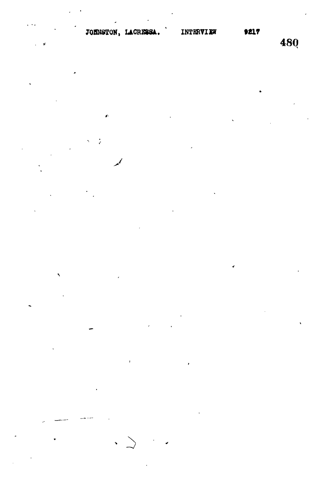JOHNSTON, LACRESSA.

9217

480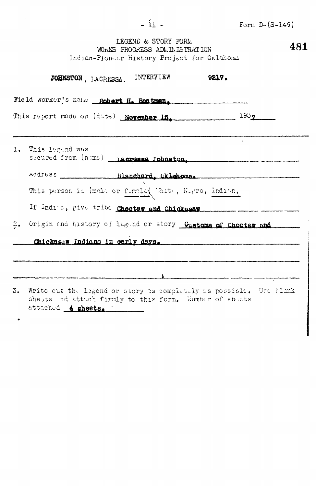|    | LEGEND & STORY FORM<br>WORKS PROGRESS ADLINISTRATION<br>Indian-Pioneer History Project for Oklahoma   | 481 |
|----|-------------------------------------------------------------------------------------------------------|-----|
|    | JOHNSTON, LACRESSA. INTERVIEW<br>9217.                                                                |     |
|    | Field worker's name Robert H. Boatman,<br>This report made on (date) November 15.<br>193 <sub>7</sub> |     |
|    | 1. This legend was<br>sscured from (nume) hacrossa Johnston,                                          |     |
|    | Address Rlanchard, Oklehoma, 1988                                                                     |     |
|    | This person is (male or functed White, Negro, Indian,                                                 |     |
|    | If Indian, give tribe chootag and Chickness                                                           |     |
| 2. | Origin and history of legend or story Customs of Chocter and                                          |     |
|    | Chickassw Indians in early days.                                                                      |     |
|    |                                                                                                       |     |

 $i_{1}$   $-$ 

Write out the legend or story as completely as possible. Use thank sheets and attuch firmly to this form. Wumber of sheets  $3.$ attached 4 sheets.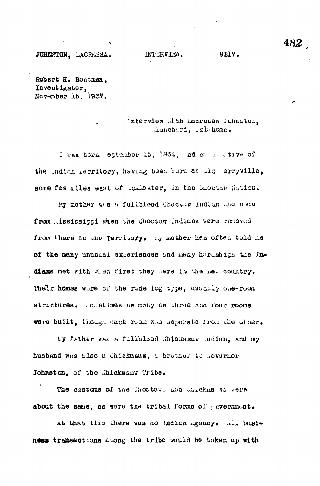Robert H. Boatman. Investigator, November 15, 1937.

> Interview Ath Lacressa Johnston, Alanchard, Oklahoma.

I was born eptember 15, 1864, nd all a little of the indian lerritory, having been born at old erryville. some few miles east of membeter, in the Choctaw Nation.

My mother was a fullbleod Choctaw indian who case from Mississippi when the Choctaw Indians were removed from there to the Territory. My mother has often told me of the many unusual experiences and many haraships the indians met with when first they were in the mew country. Their homes were of the rude log type, usually one-room structures. Constimes as many as three and four rooms were built, though each room was separate irom the other.

Ly father was a fullblood chickasaw indian, and my husband was also a chicknaaw, a brother to levernor Johnston, of the Chickasaw Tribe.

The customs of the thortawl and chickus as sere about the same, as were the tribal forms of government.

at that time there was no Indian Agency. All business transactions among the tribe would be taken up with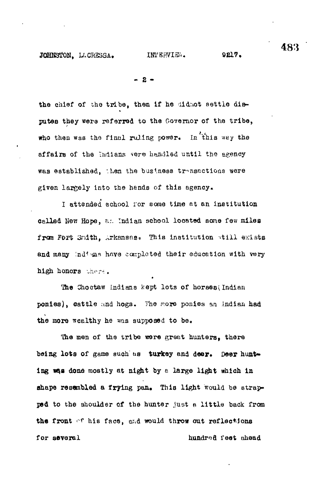JOHNSTON, LACRESSA. INTERVIEM. 9217.

**- 2 -**

the chief of the tribe, then if he didnot settle disputes they were referred to the Governor of the tribe, who then was the final ruling power. In this way the affairs of the Indians vere handled until the agency was established, then the business transactions were given largely into the hands of this agency.

I attended school for some time at an institution Called Hew Hope, ar. Indian school located some few miles from Fort Smith, Arkansas. This institution atill exists and many ind\* as have completed their education with very high honors where.

The Choctaw Indians kept lots of horses; Indian ponies), cattle and hogs. The more ponies an indian had the more wealthy he was supposed to be.

The men of the tribe were great hunters, there being lots of game such as turkey and deer. Deer hunting was done mostly at night by a large light which in shape resembled a frying pan. This light would be strapped to the shoulder of the hunter just a little back from the front of his face, and would throw out reflections for several hundred feet ahead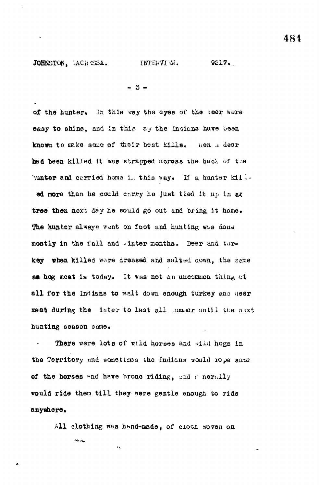- 3 -

of the hunter. In this way the eyes of the deer were easy to shine, and in this ay the indians have been known to make some of their best kills. Hen a deer had been killed it was strapped across the back of the hunter and carried home in this way. If a hunter killed more than he could carry he just tied it up in at tree then next day he would go out and bring it home. The hunter always went on foot and hunting was done mostly in the fall and winter months. Deer and ture key when killed were dressed and salted down, the same as hog meat is today. It was not an uncommon thing at all for the Indians to salt down enough turkey and deer meat during the inter to last all lumber until the next hunting season came.

There were lots of wild horses and wild hogs in the Territory and sometimes the Indians would rope some of the horses and have bronc riding, and g nerally would ride them till they were gentle enough to ride anywhere.

All clothing was hand-made, of cloth woven on

**AB** Joy

484